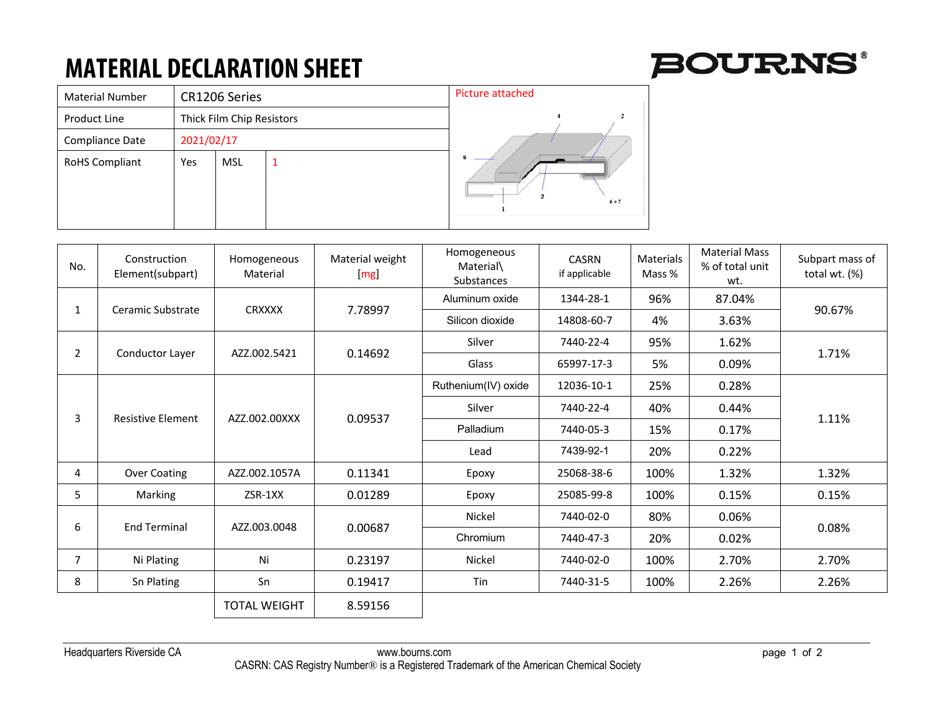## **MATERIAL DECLARATION SHEET**



| <b>Material Number</b> |            | CR1206 Series             | <b>Picture attached</b> |  |  |
|------------------------|------------|---------------------------|-------------------------|--|--|
| Product Line           |            | Thick Film Chip Resistors |                         |  |  |
| Compliance Date        | 2021/02/17 |                           |                         |  |  |
| <b>RoHS Compliant</b>  | Yes        | MSL                       | $\bf{R}$<br>$6 + 7$     |  |  |

| No.            | Construction<br>Element(subpart) | Homogeneous<br>Material | Material weight<br>[mg] | Homogeneous<br>Material\<br>Substances | <b>CASRN</b><br>if applicable | Materials<br>Mass % | <b>Material Mass</b><br>% of total unit<br>wt. | Subpart mass of<br>total wt. (%) |
|----------------|----------------------------------|-------------------------|-------------------------|----------------------------------------|-------------------------------|---------------------|------------------------------------------------|----------------------------------|
|                | Ceramic Substrate                |                         | 7.78997                 | Aluminum oxide                         | 1344-28-1                     | 96%                 | 87.04%                                         | 90.67%                           |
|                |                                  | <b>CRXXXX</b>           |                         | Silicon dioxide                        | 14808-60-7                    | 4%                  | 3.63%                                          |                                  |
| $\overline{2}$ | Conductor Layer                  | AZZ.002.5421            | 0.14692                 | Silver                                 | 7440-22-4                     | 95%                 | 1.62%                                          | 1.71%                            |
|                |                                  |                         |                         | Glass                                  | 65997-17-3                    | 5%                  | 0.09%                                          |                                  |
| 3              | <b>Resistive Element</b>         | AZZ.002.00XXX           | 0.09537                 | Ruthenium(IV) oxide                    | 12036-10-1                    | 25%                 | 0.28%                                          | 1.11%                            |
|                |                                  |                         |                         | Silver                                 | 7440-22-4                     | 40%                 | 0.44%                                          |                                  |
|                |                                  |                         |                         | Palladium                              | 7440-05-3                     | 15%                 | 0.17%                                          |                                  |
|                |                                  |                         |                         | Lead                                   | 7439-92-1                     | 20%                 | 0.22%                                          |                                  |
| 4              | Over Coating                     | AZZ.002.1057A           | 0.11341                 | Epoxy                                  | 25068-38-6                    | 100%                | 1.32%                                          | 1.32%                            |
| 5              | Marking                          | ZSR-1XX                 | 0.01289                 | Epoxy                                  | 25085-99-8                    | 100%                | 0.15%                                          | 0.15%                            |
| 6              | <b>End Terminal</b>              | AZZ.003.0048            | 0.00687                 | Nickel                                 | 7440-02-0                     | 80%                 | 0.06%                                          | 0.08%                            |
|                |                                  |                         |                         | Chromium                               | 7440-47-3                     | 20%                 | 0.02%                                          |                                  |
| $\overline{7}$ | Ni Plating                       | 0.23197<br>Ni           |                         | Nickel                                 | 7440-02-0                     | 100%                | 2.70%                                          | 2.70%                            |
| 8              | Sn Plating                       | Sn                      | 0.19417                 | Tin                                    | 7440-31-5                     | 100%                | 2.26%                                          | 2.26%                            |
|                |                                  | <b>TOTAL WEIGHT</b>     | 8.59156                 |                                        |                               |                     |                                                |                                  |